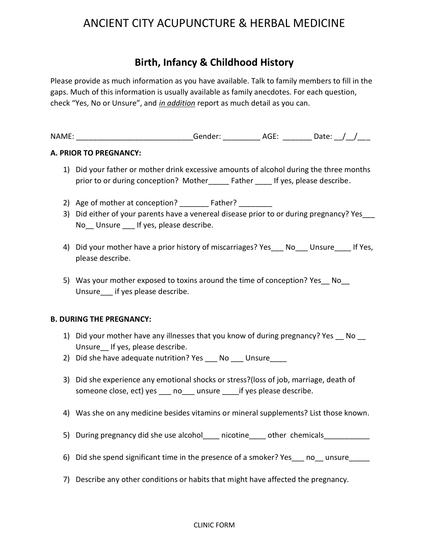# ANCIENT CITY ACUPUNCTURE & HERBAL MEDICINE

# **Birth, Infancy & Childhood History**

Please provide as much information as you have available. Talk to family members to fill in the gaps. Much of this information is usually available as family anecdotes. For each question, check "Yes, No or Unsure", and *in addition* report as much detail as you can.

NAME: The contract of the conder: The conderties are about the condering and according to  $\mathsf{AGE}$ :  $\mathsf{Date}:$  /  $\mathsf{AGE}:$ 

#### **A. PRIOR TO PREGNANCY:**

- 1) Did your father or mother drink excessive amounts of alcohol during the three months prior to or during conception? Mother \_\_\_\_\_ Father \_\_\_\_ If yes, please describe.
- 2) Age of mother at conception? \_\_\_\_\_\_\_\_ Father? \_\_\_\_\_\_\_\_
- 3) Did either of your parents have a venereal disease prior to or during pregnancy? Yes No\_\_ Unsure \_\_\_ If yes, please describe.
- 4) Did your mother have a prior history of miscarriages? Yes No Unsure If Yes, please describe.
- 5) Was your mother exposed to toxins around the time of conception? Yes No Unsure if yes please describe.

#### **B. DURING THE PREGNANCY:**

- 1) Did your mother have any illnesses that you know of during pregnancy? Yes No Unsure If yes, please describe.
- 2) Did she have adequate nutrition? Yes No Unsure
- 3) Did she experience any emotional shocks or stress?(loss of job, marriage, death of someone close, ect) yes \_\_\_ no\_\_\_ unsure \_\_\_\_if yes please describe.
- 4) Was she on any medicine besides vitamins or mineral supplements? List those known.
- 5) During pregnancy did she use alcohol anicotine other chemicals
- 6) Did she spend significant time in the presence of a smoker? Yes no unsure
- 7) Describe any other conditions or habits that might have affected the pregnancy.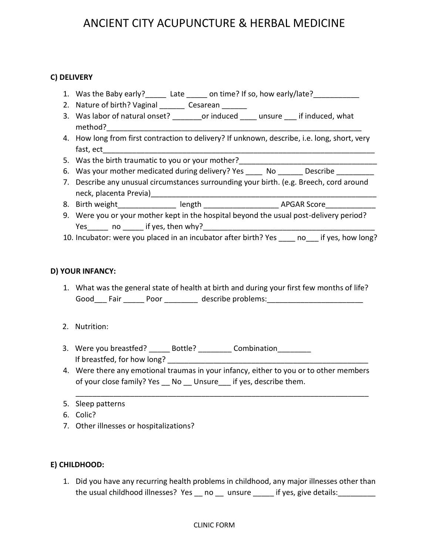# ANCIENT CITY ACUPUNCTURE & HERBAL MEDICINE

## **C) DELIVERY**

- 1. Was the Baby early?\_\_\_\_\_\_ Late \_\_\_\_\_ on time? If so, how early/late?\_\_\_\_\_\_\_\_\_
- 2. Nature of birth? Vaginal \_\_\_\_\_\_ Cesarean \_\_\_\_\_
- 3. Was labor of natural onset? corinduced unsure if induced, what method?
- 4. How long from first contraction to delivery? If unknown, describe, i.e. long, short, very fast, ect\_\_\_\_\_\_\_\_\_\_\_\_\_\_\_\_\_\_\_\_\_\_\_\_\_\_\_\_\_\_\_\_\_\_\_\_\_\_\_\_\_\_\_\_\_\_\_\_\_\_\_\_\_\_\_\_\_\_\_\_\_\_\_\_\_
- 5. Was the birth traumatic to you or your mother?\_\_\_\_\_\_\_\_\_\_\_\_\_\_\_\_\_\_\_\_\_\_\_\_\_\_\_\_\_\_\_
- 6. Was your mother medicated during delivery? Yes \_\_\_\_\_ No \_\_\_\_\_\_ Describe \_\_\_\_\_\_\_
- 7. Describe any unusual circumstances surrounding your birth. (e.g. Breech, cord around neck, placenta Previa)
- 8. Birth weight dength and length the second series are applied applied applications of the series are applications of the series of the series of the series of the series of the series of the series of the series of the s
- 9. Were you or your mother kept in the hospital beyond the usual post-delivery period? Yes\_\_\_\_\_ no \_\_\_\_\_ if yes, then why?\_\_\_\_\_\_\_\_\_\_\_\_\_\_\_\_\_\_\_\_\_\_\_\_\_\_\_\_\_\_\_\_\_\_\_\_\_\_\_\_\_
- 10. Incubator: were you placed in an incubator after birth? Yes \_\_\_\_ no\_\_\_ if yes, how long?

### **D) YOUR INFANCY:**

- 1. What was the general state of health at birth and during your first few months of life? Good\_\_\_ Fair \_\_\_\_\_\_ Poor \_\_\_\_\_\_\_\_\_ describe problems:\_\_\_\_\_\_\_\_\_\_\_\_\_\_\_\_\_\_\_\_\_\_\_\_\_\_\_
- 2. Nutrition:
- 3. Were you breastfed? \_\_\_\_\_\_\_ Bottle? \_\_\_\_\_\_\_\_\_ Combination \_\_\_\_\_\_\_\_ If breastfed, for how long?
- 4. Were there any emotional traumas in your infancy, either to you or to other members of your close family? Yes No Unsure if yes, describe them.

\_\_\_\_\_\_\_\_\_\_\_\_\_\_\_\_\_\_\_\_\_\_\_\_\_\_\_\_\_\_\_\_\_\_\_\_\_\_\_\_\_\_\_\_\_\_\_\_\_\_\_\_\_\_\_\_\_\_\_\_\_\_\_\_\_\_\_\_\_\_

- 5. Sleep patterns
- 6. Colic?
- 7. Other illnesses or hospitalizations?

### **E) CHILDHOOD:**

1. Did you have any recurring health problems in childhood, any major illnesses other than the usual childhood illnesses? Yes \_\_ no \_\_ unsure \_\_\_\_\_ if yes, give details:

#### CLINIC FORM